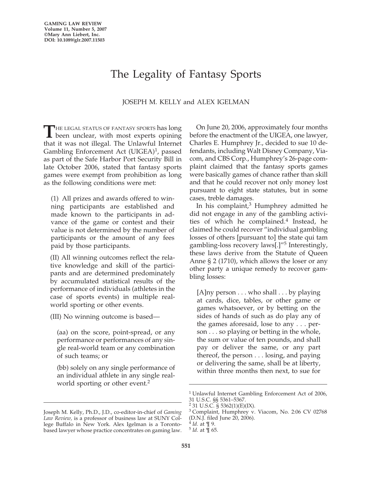## The Legality of Fantasy Sports

JOSEPH M. KELLY and ALEX IGELMAN

THE LEGAL STATUS OF FANTASY SPORTS has long<br>been unclear, with most experts opining that it was not illegal. The Unlawful Internet Gambling Enforcement Act (UIGEA)<sup>1</sup>, passed as part of the Safe Harbor Port Security Bill in late October 2006, stated that fantasy sports games were exempt from prohibition as long as the following conditions were met:

(1) All prizes and awards offered to winning participants are established and made known to the participants in advance of the game or contest and their value is not determined by the number of participants or the amount of any fees paid by those participants.

(II) All winning outcomes reflect the relative knowledge and skill of the participants and are determined predominately by accumulated statistical results of the performance of individuals (athletes in the case of sports events) in multiple realworld sporting or other events.

(III) No winning outcome is based—

(aa) on the score, point-spread, or any performance or performances of any single real-world team or any combination of such teams; or

(bb) solely on any single performance of an individual athlete in any single realworld sporting or other event.<sup>2</sup>

On June 20, 2006, approximately four months before the enactment of the UIGEA, one lawyer, Charles E. Humphrey Jr., decided to sue 10 defendants, including Walt Disney Company, Viacom, and CBS Corp., Humphrey's 26-page complaint claimed that the fantasy sports games were basically games of chance rather than skill and that he could recover not only money lost pursuant to eight state statutes, but in some cases, treble damages.

In his complaint, $3$  Humphrey admitted he did not engage in any of the gambling activities of which he complained.<sup>4</sup> Instead, he claimed he could recover "individual gambling losses of others [pursuant to] the state qui tam gambling-loss recovery laws[.]"5 Interestingly, these laws derive from the Statute of Queen Anne § 2 (1710), which allows the loser or any other party a unique remedy to recover gambling losses:

[A]ny person . . . who shall . . . by playing at cards, dice, tables, or other game or games whatsoever, or by betting on the sides of hands of such as do play any of the games aforesaid, lose to any . . . person . . . so playing or betting in the whole, the sum or value of ten pounds, and shall pay or deliver the same, or any part thereof, the person . . . losing, and paying or delivering the same, shall be at liberty, within three months then next, to sue for

Joseph M. Kelly, Ph.D., J.D., co-editor-in-chief of *Gaming Law Review,* is a professor of business law at SUNY College Buffalo in New York. Alex Igelman is a Torontobased lawyer whose practice concentrates on gaming law.

<sup>&</sup>lt;sup>1</sup> Unlawful Internet Gambling Enforcement Act of 2006, 31 U.S.C. §§ 5361–5367.

<sup>2</sup> 31 U.S.C. § 5362(1)(E)(IX).

<sup>3</sup> Complaint, Humphrey v. Viacom, No. 2:06 CV 02768 (D.N.J. filed June 20, 2006).<br> $^{4}$  *Id.* at  $\P$  9.

<sup>4</sup> *Id.* at ¶ 9. <sup>5</sup> *Id.* at ¶ 65.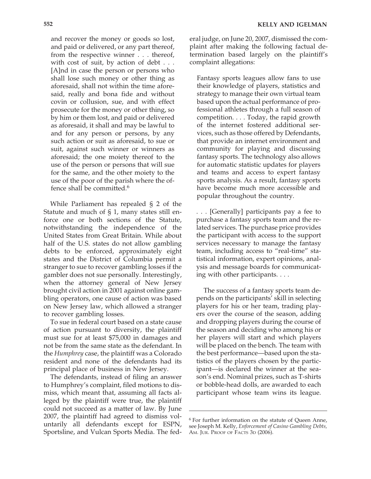and recover the money or goods so lost, and paid or delivered, or any part thereof, from the respective winner . . . thereof, with cost of suit, by action of debt . . . [A]nd in case the person or persons who shall lose such money or other thing as aforesaid, shall not within the time aforesaid, really and bona fide and without covin or collusion, sue, and with effect prosecute for the money or other thing, so by him or them lost, and paid or delivered as aforesaid, it shall and may be lawful to and for any person or persons, by any such action or suit as aforesaid, to sue or suit, against such winner or winners as aforesaid; the one moiety thereof to the use of the person or persons that will sue for the same, and the other moiety to the use of the poor of the parish where the offence shall be committed.6

While Parliament has repealed § 2 of the Statute and much of § 1, many states still enforce one or both sections of the Statute, notwithstanding the independence of the United States from Great Britain. While about half of the U.S. states do not allow gambling debts to be enforced, approximately eight states and the District of Columbia permit a stranger to sue to recover gambling losses if the gambler does not sue personally. Interestingly, when the attorney general of New Jersey brought civil action in 2001 against online gambling operators, one cause of action was based on New Jersey law, which allowed a stranger to recover gambling losses.

To sue in federal court based on a state cause of action pursuant to diversity, the plaintiff must sue for at least \$75,000 in damages and not be from the same state as the defendant. In the *Humphrey* case, the plaintiff was a Colorado resident and none of the defendants had its principal place of business in New Jersey.

The defendants, instead of filing an answer to Humphrey's complaint, filed motions to dismiss, which meant that, assuming all facts alleged by the plaintiff were true, the plaintiff could not succeed as a matter of law. By June 2007, the plaintiff had agreed to dismiss voluntarily all defendants except for ESPN, Sportsline, and Vulcan Sports Media. The federal judge, on June 20, 2007, dismissed the complaint after making the following factual determination based largely on the plaintiff's complaint allegations:

Fantasy sports leagues allow fans to use their knowledge of players, statistics and strategy to manage their own virtual team based upon the actual performance of professional athletes through a full season of competition. . . . Today, the rapid growth of the internet fostered additional services, such as those offered by Defendants, that provide an internet environment and community for playing and discussing fantasy sports. The technology also allows for automatic statistic updates for players and teams and access to expert fantasy sports analysis. As a result, fantasy sports have become much more accessible and popular throughout the country.

. . . [Generally] participants pay a fee to purchase a fantasy sports team and the related services. The purchase price provides the participant with access to the support services necessary to manage the fantasy team, including access to "real-time" statistical information, expert opinions, analysis and message boards for communicating with other participants. . . .

The success of a fantasy sports team depends on the participants' skill in selecting players for his or her team, trading players over the course of the season, adding and dropping players during the course of the season and deciding who among his or her players will start and which players will be placed on the bench. The team with the best performance—based upon the statistics of the players chosen by the participant—is declared the winner at the season's end. Nominal prizes, such as T-shirts or bobble-head dolls, are awarded to each participant whose team wins its league.

<sup>6</sup> For further information on the statute of Queen Anne, see Joseph M. Kelly, *Enforcement of Casino Gambling Debts,* AM. JUR. PROOF OF FACTS 3D (2006).